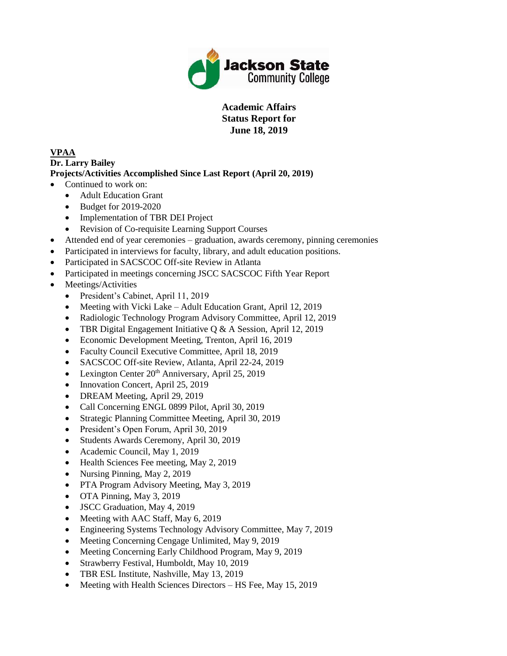

**Academic Affairs Status Report for June 18, 2019**

#### **VPAA Dr. Larry Bailey Projects/Activities Accomplished Since Last Report (April 20, 2019)**

- Continued to work on:
	- Adult Education Grant
	- Budget for 2019-2020
	- Implementation of TBR DEI Project
	- Revision of Co-requisite Learning Support Courses
- Attended end of year ceremonies graduation, awards ceremony, pinning ceremonies
- Participated in interviews for faculty, library, and adult education positions.
- Participated in SACSCOC Off-site Review in Atlanta
- Participated in meetings concerning JSCC SACSCOC Fifth Year Report
- Meetings/Activities
	- President's Cabinet, April 11, 2019
	- Meeting with Vicki Lake Adult Education Grant, April 12, 2019
	- Radiologic Technology Program Advisory Committee, April 12, 2019
	- TBR Digital Engagement Initiative Q & A Session, April 12, 2019
	- Economic Development Meeting, Trenton, April 16, 2019
	- Faculty Council Executive Committee, April 18, 2019
	- SACSCOC Off-site Review, Atlanta, April 22-24, 2019
	- Eexington Center  $20<sup>th</sup>$  Anniversary, April 25, 2019
	- Innovation Concert, April 25, 2019
	- DREAM Meeting, April 29, 2019
	- Call Concerning ENGL 0899 Pilot, April 30, 2019
	- Strategic Planning Committee Meeting, April 30, 2019
	- President's Open Forum, April 30, 2019
	- Students Awards Ceremony, April 30, 2019
	- Academic Council, May 1, 2019
	- Health Sciences Fee meeting, May 2, 2019
	- Nursing Pinning, May 2, 2019
	- PTA Program Advisory Meeting, May 3, 2019
	- OTA Pinning, May 3, 2019
	- JSCC Graduation, May 4, 2019
	- Meeting with AAC Staff, May 6, 2019
	- Engineering Systems Technology Advisory Committee, May 7, 2019
	- Meeting Concerning Cengage Unlimited, May 9, 2019
	- Meeting Concerning Early Childhood Program, May 9, 2019
	- Strawberry Festival, Humboldt, May 10, 2019
	- TBR ESL Institute, Nashville, May 13, 2019
	- Meeting with Health Sciences Directors HS Fee, May 15, 2019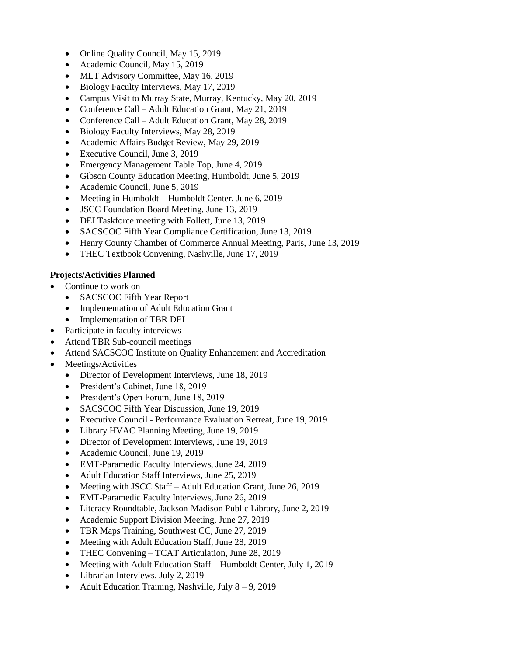- Online Quality Council, May 15, 2019
- Academic Council, May 15, 2019
- MLT Advisory Committee, May 16, 2019
- Biology Faculty Interviews, May 17, 2019
- Campus Visit to Murray State, Murray, Kentucky, May 20, 2019
- Conference Call Adult Education Grant, May 21, 2019
- Conference Call Adult Education Grant, May 28, 2019
- Biology Faculty Interviews, May 28, 2019
- Academic Affairs Budget Review, May 29, 2019
- Executive Council, June 3, 2019
- Emergency Management Table Top, June 4, 2019
- Gibson County Education Meeting, Humboldt, June 5, 2019
- Academic Council, June 5, 2019
- Meeting in Humboldt Humboldt Center, June 6, 2019
- JSCC Foundation Board Meeting, June 13, 2019
- DEI Taskforce meeting with Follett, June 13, 2019
- SACSCOC Fifth Year Compliance Certification, June 13, 2019
- Henry County Chamber of Commerce Annual Meeting, Paris, June 13, 2019
- THEC Textbook Convening, Nashville, June 17, 2019

### **Projects/Activities Planned**

- Continue to work on
	- SACSCOC Fifth Year Report
	- Implementation of Adult Education Grant
	- Implementation of TBR DEI
- Participate in faculty interviews
- Attend TBR Sub-council meetings
- Attend SACSCOC Institute on Quality Enhancement and Accreditation
- Meetings/Activities
	- Director of Development Interviews, June 18, 2019
	- President's Cabinet, June 18, 2019
	- President's Open Forum, June 18, 2019
	- SACSCOC Fifth Year Discussion, June 19, 2019
	- Executive Council Performance Evaluation Retreat, June 19, 2019
	- Library HVAC Planning Meeting, June 19, 2019
	- Director of Development Interviews, June 19, 2019
	- Academic Council, June 19, 2019
	- EMT-Paramedic Faculty Interviews, June 24, 2019
	- Adult Education Staff Interviews, June 25, 2019
	- Meeting with JSCC Staff Adult Education Grant, June 26, 2019
	- EMT-Paramedic Faculty Interviews, June 26, 2019
	- Literacy Roundtable, Jackson-Madison Public Library, June 2, 2019
	- Academic Support Division Meeting, June 27, 2019
	- TBR Maps Training, Southwest CC, June 27, 2019
	- Meeting with Adult Education Staff, June 28, 2019
	- THEC Convening TCAT Articulation, June 28, 2019
	- Meeting with Adult Education Staff Humboldt Center, July 1, 2019
	- Librarian Interviews, July 2, 2019
	- Adult Education Training, Nashville, July 8 9, 2019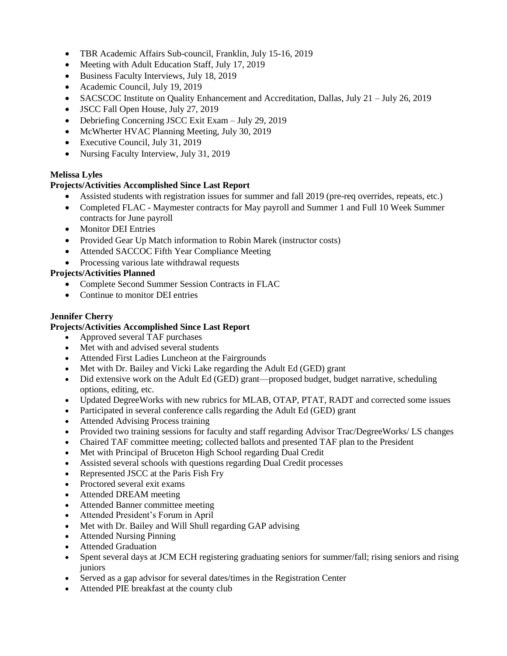- TBR Academic Affairs Sub-council, Franklin, July 15-16, 2019
- Meeting with Adult Education Staff, July 17, 2019
- Business Faculty Interviews, July 18, 2019
- Academic Council, July 19, 2019
- SACSCOC Institute on Quality Enhancement and Accreditation, Dallas, July 21 July 26, 2019
- JSCC Fall Open House, July 27, 2019
- Debriefing Concerning JSCC Exit Exam July 29, 2019
- McWherter HVAC Planning Meeting, July 30, 2019
- Executive Council, July 31, 2019
- Nursing Faculty Interview, July 31, 2019

#### **Melissa Lyles**

#### **Projects/Activities Accomplished Since Last Report**

- Assisted students with registration issues for summer and fall 2019 (pre-req overrides, repeats, etc.)
- Completed FLAC Maymester contracts for May payroll and Summer 1 and Full 10 Week Summer contracts for June payroll
- Monitor DEI Entries
- Provided Gear Up Match information to Robin Marek (instructor costs)
- Attended SACCOC Fifth Year Compliance Meeting
- Processing various late withdrawal requests

#### **Projects/Activities Planned**

- Complete Second Summer Session Contracts in FLAC
- Continue to monitor DEI entries

#### **Jennifer Cherry**

- Approved several TAF purchases
- Met with and advised several students
- Attended First Ladies Luncheon at the Fairgrounds
- Met with Dr. Bailey and Vicki Lake regarding the Adult Ed (GED) grant
- Did extensive work on the Adult Ed (GED) grant—proposed budget, budget narrative, scheduling options, editing, etc.
- Updated DegreeWorks with new rubrics for MLAB, OTAP, PTAT, RADT and corrected some issues
- Participated in several conference calls regarding the Adult Ed (GED) grant
- Attended Advising Process training
- Provided two training sessions for faculty and staff regarding Advisor Trac/DegreeWorks/ LS changes
- Chaired TAF committee meeting; collected ballots and presented TAF plan to the President
- Met with Principal of Bruceton High School regarding Dual Credit
- Assisted several schools with questions regarding Dual Credit processes
- Represented JSCC at the Paris Fish Fry
- Proctored several exit exams
- Attended DREAM meeting
- Attended Banner committee meeting
- Attended President's Forum in April
- Met with Dr. Bailey and Will Shull regarding GAP advising
- Attended Nursing Pinning
- Attended Graduation
- Spent several days at JCM ECH registering graduating seniors for summer/fall; rising seniors and rising juniors
- Served as a gap advisor for several dates/times in the Registration Center
- Attended PIE breakfast at the county club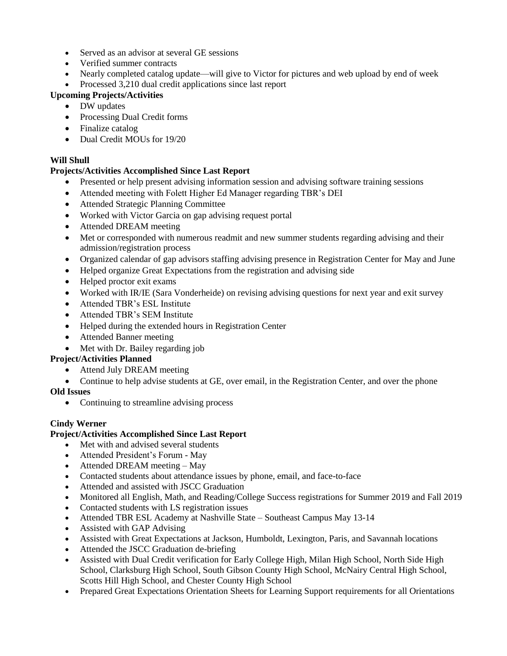- Served as an advisor at several GE sessions
- Verified summer contracts
- Nearly completed catalog update—will give to Victor for pictures and web upload by end of week
- Processed 3,210 dual credit applications since last report

# **Upcoming Projects/Activities**

- DW updates
- Processing Dual Credit forms
- Finalize catalog
- Dual Credit MOUs for 19/20

## **Will Shull**

### **Projects/Activities Accomplished Since Last Report**

- Presented or help present advising information session and advising software training sessions
- Attended meeting with Folett Higher Ed Manager regarding TBR's DEI
- Attended Strategic Planning Committee
- Worked with Victor Garcia on gap advising request portal
- Attended DREAM meeting
- Met or corresponded with numerous readmit and new summer students regarding advising and their admission/registration process
- Organized calendar of gap advisors staffing advising presence in Registration Center for May and June
- Helped organize Great Expectations from the registration and advising side
- Helped proctor exit exams
- Worked with IR/IE (Sara Vonderheide) on revising advising questions for next year and exit survey
- Attended TBR's ESL Institute
- Attended TBR's SEM Institute
- Helped during the extended hours in Registration Center
- Attended Banner meeting
- Met with Dr. Bailey regarding job

#### **Project/Activities Planned**

- Attend July DREAM meeting
- Continue to help advise students at GE, over email, in the Registration Center, and over the phone

# **Old Issues**

• Continuing to streamline advising process

#### **Cindy Werner**

- Met with and advised several students
- Attended President's Forum May
- Attended DREAM meeting May
- Contacted students about attendance issues by phone, email, and face-to-face
- Attended and assisted with JSCC Graduation
- Monitored all English, Math, and Reading/College Success registrations for Summer 2019 and Fall 2019
- Contacted students with LS registration issues
- Attended TBR ESL Academy at Nashville State Southeast Campus May 13-14
- Assisted with GAP Advising
- Assisted with Great Expectations at Jackson, Humboldt, Lexington, Paris, and Savannah locations
- Attended the JSCC Graduation de-briefing
- Assisted with Dual Credit verification for Early College High, Milan High School, North Side High School, Clarksburg High School, South Gibson County High School, McNairy Central High School, Scotts Hill High School, and Chester County High School
- Prepared Great Expectations Orientation Sheets for Learning Support requirements for all Orientations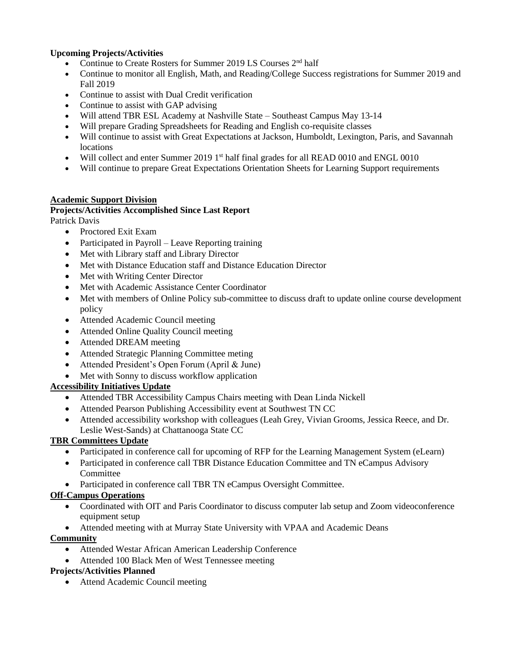### **Upcoming Projects/Activities**

- Continue to Create Rosters for Summer 2019 LS Courses 2nd half
- Continue to monitor all English, Math, and Reading/College Success registrations for Summer 2019 and Fall 2019
- Continue to assist with Dual Credit verification
- Continue to assist with GAP advising
- Will attend TBR ESL Academy at Nashville State Southeast Campus May 13-14
- Will prepare Grading Spreadsheets for Reading and English co-requisite classes
- Will continue to assist with Great Expectations at Jackson, Humboldt, Lexington, Paris, and Savannah locations
- Will collect and enter Summer 2019 1<sup>st</sup> half final grades for all READ 0010 and ENGL 0010
- Will continue to prepare Great Expectations Orientation Sheets for Learning Support requirements

#### **Academic Support Division**

# **Projects/Activities Accomplished Since Last Report**

Patrick Davis

- Proctored Exit Exam
- Participated in Payroll Leave Reporting training
- Met with Library staff and Library Director
- Met with Distance Education staff and Distance Education Director
- Met with Writing Center Director
- Met with Academic Assistance Center Coordinator
- Met with members of Online Policy sub-committee to discuss draft to update online course development policy
- Attended Academic Council meeting
- Attended Online Quality Council meeting
- Attended DREAM meeting
- Attended Strategic Planning Committee meting
- Attended President's Open Forum (April & June)
- Met with Sonny to discuss workflow application

#### **Accessibility Initiatives Update**

- Attended TBR Accessibility Campus Chairs meeting with Dean Linda Nickell
- Attended Pearson Publishing Accessibility event at Southwest TN CC
- Attended accessibility workshop with colleagues (Leah Grey, Vivian Grooms, Jessica Reece, and Dr. Leslie West-Sands) at Chattanooga State CC

#### **TBR Committees Update**

- Participated in conference call for upcoming of RFP for the Learning Management System (eLearn)
- Participated in conference call TBR Distance Education Committee and TN eCampus Advisory **Committee**
- Participated in conference call TBR TN eCampus Oversight Committee.

#### **Off-Campus Operations**

- Coordinated with OIT and Paris Coordinator to discuss computer lab setup and Zoom videoconference equipment setup
- Attended meeting with at Murray State University with VPAA and Academic Deans

#### **Community**

- Attended Westar African American Leadership Conference
- Attended 100 Black Men of West Tennessee meeting

#### **Projects/Activities Planned**

• Attend Academic Council meeting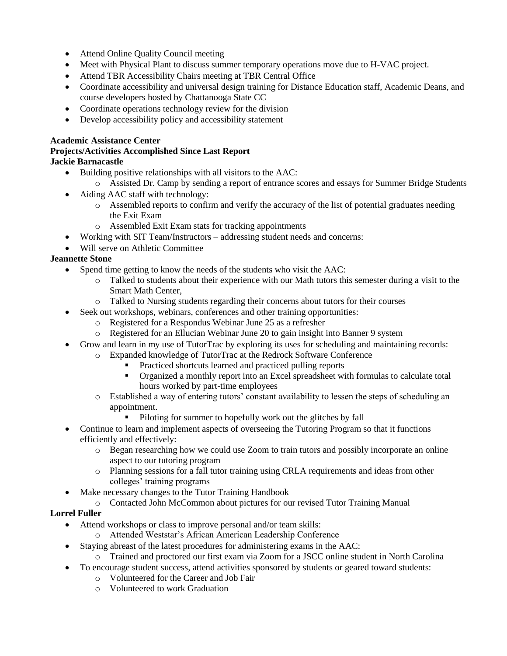- Attend Online Quality Council meeting
- Meet with Physical Plant to discuss summer temporary operations move due to H-VAC project.
- Attend TBR Accessibility Chairs meeting at TBR Central Office
- Coordinate accessibility and universal design training for Distance Education staff, Academic Deans, and course developers hosted by Chattanooga State CC
- Coordinate operations technology review for the division
- Develop accessibility policy and accessibility statement

#### **Academic Assistance Center**

#### **Projects/Activities Accomplished Since Last Report Jackie Barnacastle**

- Building positive relationships with all visitors to the AAC:
	- o Assisted Dr. Camp by sending a report of entrance scores and essays for Summer Bridge Students
- Aiding AAC staff with technology:
	- o Assembled reports to confirm and verify the accuracy of the list of potential graduates needing the Exit Exam
	- o Assembled Exit Exam stats for tracking appointments
- Working with SIT Team/Instructors addressing student needs and concerns:
- Will serve on Athletic Committee

#### **Jeannette Stone**

- Spend time getting to know the needs of the students who visit the AAC:
	- o Talked to students about their experience with our Math tutors this semester during a visit to the Smart Math Center,
	- o Talked to Nursing students regarding their concerns about tutors for their courses
- Seek out workshops, webinars, conferences and other training opportunities:
	- o Registered for a Respondus Webinar June 25 as a refresher
		- o Registered for an Ellucian Webinar June 20 to gain insight into Banner 9 system
- Grow and learn in my use of TutorTrac by exploring its uses for scheduling and maintaining records:
	- o Expanded knowledge of TutorTrac at the Redrock Software Conference
		- Practiced shortcuts learned and practiced pulling reports
		- Organized a monthly report into an Excel spreadsheet with formulas to calculate total hours worked by part-time employees
	- o Established a way of entering tutors' constant availability to lessen the steps of scheduling an appointment.
		- **Piloting for summer to hopefully work out the glitches by fall**
- Continue to learn and implement aspects of overseeing the Tutoring Program so that it functions efficiently and effectively:
	- o Began researching how we could use Zoom to train tutors and possibly incorporate an online aspect to our tutoring program
	- o Planning sessions for a fall tutor training using CRLA requirements and ideas from other colleges' training programs
- Make necessary changes to the Tutor Training Handbook
- o Contacted John McCommon about pictures for our revised Tutor Training Manual

#### **Lorrel Fuller**

- Attend workshops or class to improve personal and/or team skills:
	- o Attended Weststar's African American Leadership Conference
- Staying abreast of the latest procedures for administering exams in the AAC:
	- o Trained and proctored our first exam via Zoom for a JSCC online student in North Carolina
- To encourage student success, attend activities sponsored by students or geared toward students:
	- o Volunteered for the Career and Job Fair
	- o Volunteered to work Graduation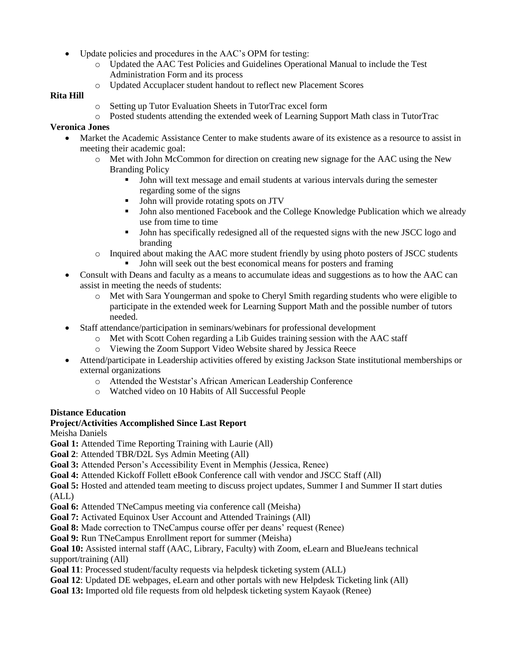- Update policies and procedures in the AAC's OPM for testing:
	- o Updated the AAC Test Policies and Guidelines Operational Manual to include the Test Administration Form and its process
	- o Updated Accuplacer student handout to reflect new Placement Scores

## **Rita Hill**

- o Setting up Tutor Evaluation Sheets in TutorTrac excel form
- o Posted students attending the extended week of Learning Support Math class in TutorTrac

## **Veronica Jones**

- Market the Academic Assistance Center to make students aware of its existence as a resource to assist in meeting their academic goal:
	- o Met with John McCommon for direction on creating new signage for the AAC using the New Branding Policy
		- John will text message and email students at various intervals during the semester regarding some of the signs
		- I John will provide rotating spots on JTV
		- John also mentioned Facebook and the College Knowledge Publication which we already use from time to time
		- John has specifically redesigned all of the requested signs with the new JSCC logo and branding
	- $\circ$  Inquired about making the AAC more student friendly by using photo posters of JSCC students
		- John will seek out the best economical means for posters and framing
- Consult with Deans and faculty as a means to accumulate ideas and suggestions as to how the AAC can assist in meeting the needs of students:
	- o Met with Sara Youngerman and spoke to Cheryl Smith regarding students who were eligible to participate in the extended week for Learning Support Math and the possible number of tutors needed.
- Staff attendance/participation in seminars/webinars for professional development
	- $\circ$  Met with Scott Cohen regarding a Lib Guides training session with the AAC staff
	- Viewing the Zoom Support Video Website shared by Jessica Reece
- Attend/participate in Leadership activities offered by existing Jackson State institutional memberships or external organizations
	- o Attended the Weststar's African American Leadership Conference
	- o Watched video on 10 Habits of All Successful People

# **Distance Education**

# **Project/Activities Accomplished Since Last Report**

Meisha Daniels

**Goal 1:** Attended Time Reporting Training with Laurie (All)

**Goal 2**: Attended TBR/D2L Sys Admin Meeting (All)

**Goal 3:** Attended Person's Accessibility Event in Memphis (Jessica, Renee)

**Goal 4:** Attended Kickoff Follett eBook Conference call with vendor and JSCC Staff (All)

**Goal 5:** Hosted and attended team meeting to discuss project updates, Summer I and Summer II start duties (ALL)

**Goal 6:** Attended TNeCampus meeting via conference call (Meisha)

**Goal 7:** Activated Equinox User Account and Attended Trainings (All)

**Goal 8:** Made correction to TNeCampus course offer per deans' request (Renee)

**Goal 9:** Run TNeCampus Enrollment report for summer (Meisha)

**Goal 10:** Assisted internal staff (AAC, Library, Faculty) with Zoom, eLearn and BlueJeans technical support/training (All)

**Goal 11**: Processed student/faculty requests via helpdesk ticketing system (ALL)

- **Goal 12**: Updated DE webpages, eLearn and other portals with new Helpdesk Ticketing link (All)
- **Goal 13:** Imported old file requests from old helpdesk ticketing system Kayaok (Renee)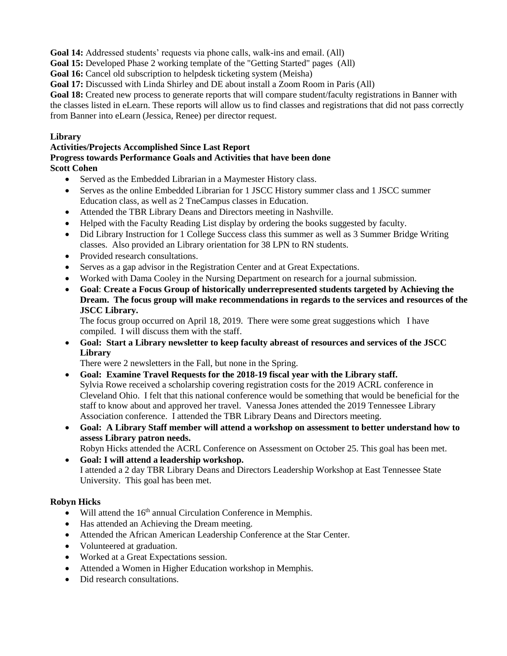**Goal 14:** Addressed students' requests via phone calls, walk-ins and email. (All)

**Goal 15:** Developed Phase 2 working template of the "Getting Started" pages (All)

**Goal 16:** Cancel old subscription to helpdesk ticketing system (Meisha)

**Goal 17:** Discussed with Linda Shirley and DE about install a Zoom Room in Paris (All)

**Goal 18:** Created new process to generate reports that will compare student/faculty registrations in Banner with the classes listed in eLearn. These reports will allow us to find classes and registrations that did not pass correctly from Banner into eLearn (Jessica, Renee) per director request.

#### **Library**

#### **Activities/Projects Accomplished Since Last Report Progress towards Performance Goals and Activities that have been done Scott Cohen**

- Served as the Embedded Librarian in a Maymester History class.
- Serves as the online Embedded Librarian for 1 JSCC History summer class and 1 JSCC summer Education class, as well as 2 TneCampus classes in Education.
- Attended the TBR Library Deans and Directors meeting in Nashville.
- Helped with the Faculty Reading List display by ordering the books suggested by faculty.
- Did Library Instruction for 1 College Success class this summer as well as 3 Summer Bridge Writing classes. Also provided an Library orientation for 38 LPN to RN students.
- Provided research consultations.
- Serves as a gap advisor in the Registration Center and at Great Expectations.
- Worked with Dama Cooley in the Nursing Department on research for a journal submission.
- **Goal**: **Create a Focus Group of historically underrepresented students targeted by Achieving the Dream. The focus group will make recommendations in regards to the services and resources of the JSCC Library.**

The focus group occurred on April 18, 2019. There were some great suggestions which I have compiled. I will discuss them with the staff.

 **Goal: Start a Library newsletter to keep faculty abreast of resources and services of the JSCC Library**

There were 2 newsletters in the Fall, but none in the Spring.

- **Goal: Examine Travel Requests for the 2018-19 fiscal year with the Library staff.** Sylvia Rowe received a scholarship covering registration costs for the 2019 ACRL conference in Cleveland Ohio. I felt that this national conference would be something that would be beneficial for the staff to know about and approved her travel. Vanessa Jones attended the 2019 Tennessee Library Association conference. I attended the TBR Library Deans and Directors meeting.
- **Goal: A Library Staff member will attend a workshop on assessment to better understand how to assess Library patron needs.**

Robyn Hicks attended the ACRL Conference on Assessment on October 25. This goal has been met.

 **Goal: I will attend a leadership workshop.** I attended a 2 day TBR Library Deans and Directors Leadership Workshop at East Tennessee State University. This goal has been met.

# **Robyn Hicks**

- $\bullet$  Will attend the 16<sup>th</sup> annual Circulation Conference in Memphis.
- Has attended an Achieving the Dream meeting.
- Attended the African American Leadership Conference at the Star Center.
- Volunteered at graduation.
- Worked at a Great Expectations session.
- Attended a Women in Higher Education workshop in Memphis.
- Did research consultations.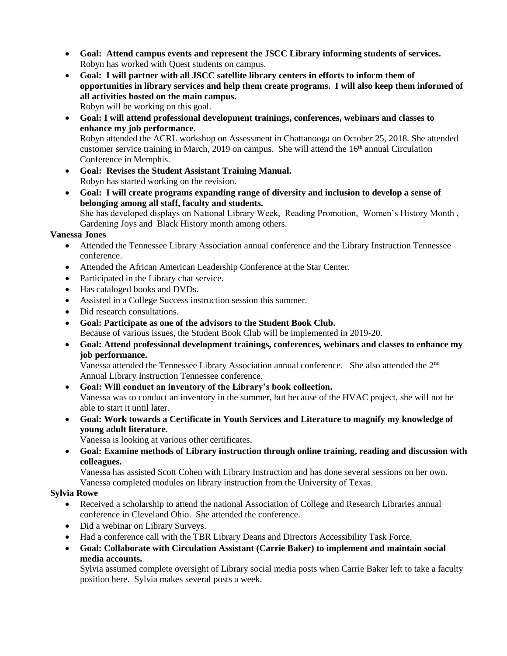- **Goal: Attend campus events and represent the JSCC Library informing students of services.** Robyn has worked with Quest students on campus.
- **Goal: I will partner with all JSCC satellite library centers in efforts to inform them of opportunities in library services and help them create programs. I will also keep them informed of all activities hosted on the main campus.** Robyn will be working on this goal.
- **Goal: I will attend professional development trainings, conferences, webinars and classes to enhance my job performance.** Robyn attended the ACRL workshop on Assessment in Chattanooga on October 25, 2018. She attended customer service training in March, 2019 on campus. She will attend the  $16<sup>th</sup>$  annual Circulation Conference in Memphis.
- **Goal: Revises the Student Assistant Training Manual.** Robyn has started working on the revision.
- **Goal: I will create programs expanding range of diversity and inclusion to develop a sense of belonging among all staff, faculty and students.** She has developed displays on National Library Week, Reading Promotion, Women's History Month , Gardening Joys and Black History month among others.

#### **Vanessa Jones**

- Attended the Tennessee Library Association annual conference and the Library Instruction Tennessee conference.
- Attended the African American Leadership Conference at the Star Center.
- Participated in the Library chat service.
- Has cataloged books and DVDs.
- Assisted in a College Success instruction session this summer.
- Did research consultations.
- **Goal: Participate as one of the advisors to the Student Book Club.** Because of various issues, the Student Book Club will be implemented in 2019-20.
- **Goal: Attend professional development trainings, conferences, webinars and classes to enhance my job performance.**

Vanessa attended the Tennessee Library Association annual conference. She also attended the 2nd Annual Library Instruction Tennessee conference.

- **Goal: Will conduct an inventory of the Library's book collection.** Vanessa was to conduct an inventory in the summer, but because of the HVAC project, she will not be able to start it until later.
- **Goal: Work towards a Certificate in Youth Services and Literature to magnify my knowledge of young adult literature**.

Vanessa is looking at various other certificates.

 **Goal: Examine methods of Library instruction through online training, reading and discussion with colleagues.**

Vanessa has assisted Scott Cohen with Library Instruction and has done several sessions on her own. Vanessa completed modules on library instruction from the University of Texas.

#### **Sylvia Rowe**

- Received a scholarship to attend the national Association of College and Research Libraries annual conference in Cleveland Ohio. She attended the conference.
- Did a webinar on Library Surveys.
- Had a conference call with the TBR Library Deans and Directors Accessibility Task Force.
- **Goal: Collaborate with Circulation Assistant (Carrie Baker) to implement and maintain social media accounts.**

Sylvia assumed complete oversight of Library social media posts when Carrie Baker left to take a faculty position here. Sylvia makes several posts a week.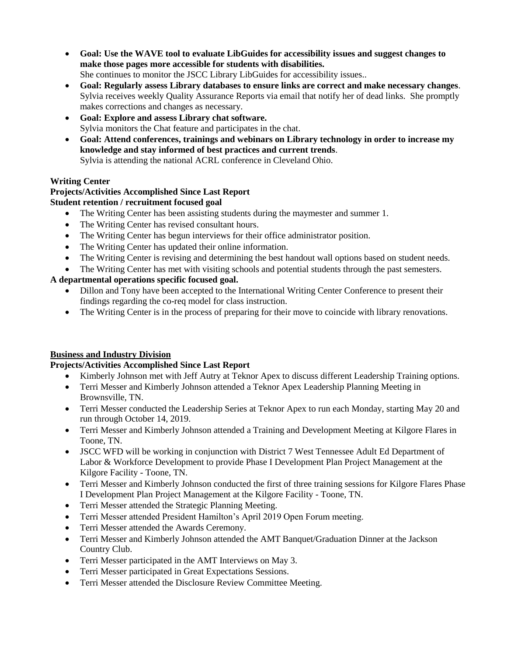- **Goal: Use the WAVE tool to evaluate LibGuides for accessibility issues and suggest changes to make those pages more accessible for students with disabilities.** She continues to monitor the JSCC Library LibGuides for accessibility issues..
- **Goal: Regularly assess Library databases to ensure links are correct and make necessary changes**. Sylvia receives weekly Quality Assurance Reports via email that notify her of dead links. She promptly makes corrections and changes as necessary.
- **Goal: Explore and assess Library chat software.** Sylvia monitors the Chat feature and participates in the chat.
- **Goal: Attend conferences, trainings and webinars on Library technology in order to increase my knowledge and stay informed of best practices and current trends**. Sylvia is attending the national ACRL conference in Cleveland Ohio.

#### **Writing Center**

#### **Projects/Activities Accomplished Since Last Report Student retention / recruitment focused goal**

- The Writing Center has been assisting students during the maymester and summer 1.
- The Writing Center has revised consultant hours.
- The Writing Center has begun interviews for their office administrator position.
- The Writing Center has updated their online information.
- The Writing Center is revising and determining the best handout wall options based on student needs.
- The Writing Center has met with visiting schools and potential students through the past semesters.

### **A departmental operations specific focused goal.**

- Dillon and Tony have been accepted to the International Writing Center Conference to present their findings regarding the co-req model for class instruction.
- The Writing Center is in the process of preparing for their move to coincide with library renovations.

#### **Business and Industry Division**

- Kimberly Johnson met with Jeff Autry at Teknor Apex to discuss different Leadership Training options.
- Terri Messer and Kimberly Johnson attended a Teknor Apex Leadership Planning Meeting in Brownsville, TN.
- Terri Messer conducted the Leadership Series at Teknor Apex to run each Monday, starting May 20 and run through October 14, 2019.
- Terri Messer and Kimberly Johnson attended a Training and Development Meeting at Kilgore Flares in Toone, TN.
- JSCC WFD will be working in conjunction with District 7 West Tennessee Adult Ed Department of Labor & Workforce Development to provide Phase I Development Plan Project Management at the Kilgore Facility - Toone, TN.
- Terri Messer and Kimberly Johnson conducted the first of three training sessions for Kilgore Flares Phase I Development Plan Project Management at the Kilgore Facility - Toone, TN.
- Terri Messer attended the Strategic Planning Meeting.
- Terri Messer attended President Hamilton's April 2019 Open Forum meeting.
- Terri Messer attended the Awards Ceremony.
- Terri Messer and Kimberly Johnson attended the AMT Banquet/Graduation Dinner at the Jackson Country Club.
- Terri Messer participated in the AMT Interviews on May 3.
- Terri Messer participated in Great Expectations Sessions.
- Terri Messer attended the Disclosure Review Committee Meeting.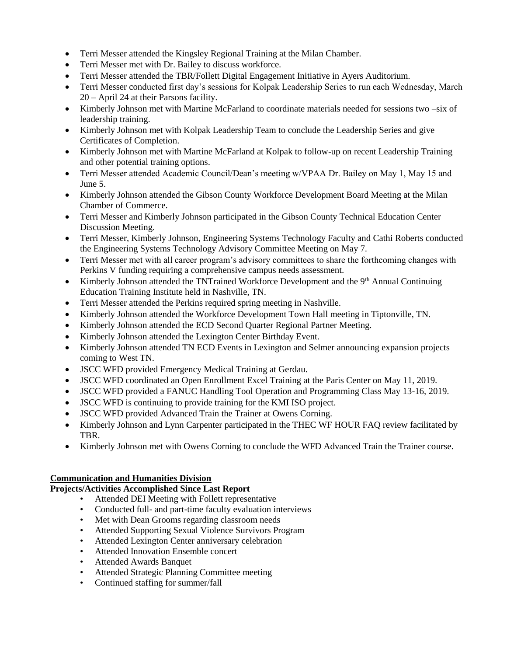- Terri Messer attended the Kingsley Regional Training at the Milan Chamber.
- Terri Messer met with Dr. Bailey to discuss workforce.
- Terri Messer attended the TBR/Follett Digital Engagement Initiative in Ayers Auditorium.
- Terri Messer conducted first day's sessions for Kolpak Leadership Series to run each Wednesday, March 20 – April 24 at their Parsons facility.
- Kimberly Johnson met with Martine McFarland to coordinate materials needed for sessions two –six of leadership training.
- Kimberly Johnson met with Kolpak Leadership Team to conclude the Leadership Series and give Certificates of Completion.
- Kimberly Johnson met with Martine McFarland at Kolpak to follow-up on recent Leadership Training and other potential training options.
- Terri Messer attended Academic Council/Dean's meeting w/VPAA Dr. Bailey on May 1, May 15 and June 5.
- Kimberly Johnson attended the Gibson County Workforce Development Board Meeting at the Milan Chamber of Commerce.
- Terri Messer and Kimberly Johnson participated in the Gibson County Technical Education Center Discussion Meeting.
- Terri Messer, Kimberly Johnson, Engineering Systems Technology Faculty and Cathi Roberts conducted the Engineering Systems Technology Advisory Committee Meeting on May 7.
- Terri Messer met with all career program's advisory committees to share the forthcoming changes with Perkins V funding requiring a comprehensive campus needs assessment.
- Kimberly Johnson attended the TNTrained Workforce Development and the  $9<sup>th</sup>$  Annual Continuing Education Training Institute held in Nashville, TN.
- Terri Messer attended the Perkins required spring meeting in Nashville.
- Kimberly Johnson attended the Workforce Development Town Hall meeting in Tiptonville, TN.
- Kimberly Johnson attended the ECD Second Quarter Regional Partner Meeting.
- Kimberly Johnson attended the Lexington Center Birthday Event.
- Kimberly Johnson attended TN ECD Events in Lexington and Selmer announcing expansion projects coming to West TN.
- JSCC WFD provided Emergency Medical Training at Gerdau.
- JSCC WFD coordinated an Open Enrollment Excel Training at the Paris Center on May 11, 2019.
- JSCC WFD provided a FANUC Handling Tool Operation and Programming Class May 13-16, 2019.
- JSCC WFD is continuing to provide training for the KMI ISO project.
- JSCC WFD provided Advanced Train the Trainer at Owens Corning.
- Kimberly Johnson and Lynn Carpenter participated in the THEC WF HOUR FAQ review facilitated by TBR.
- Kimberly Johnson met with Owens Corning to conclude the WFD Advanced Train the Trainer course.

#### **Communication and Humanities Division**

- Attended DEI Meeting with Follett representative
- Conducted full- and part-time faculty evaluation interviews
- Met with Dean Grooms regarding classroom needs
- Attended Supporting Sexual Violence Survivors Program
- Attended Lexington Center anniversary celebration
- Attended Innovation Ensemble concert
- Attended Awards Banquet
- Attended Strategic Planning Committee meeting
- Continued staffing for summer/fall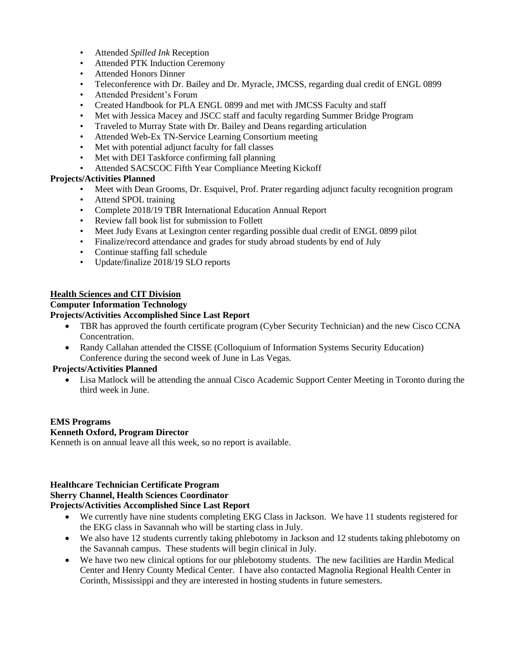- Attended *Spilled Ink* Reception
- Attended PTK Induction Ceremony
- Attended Honors Dinner
- Teleconference with Dr. Bailey and Dr. Myracle, JMCSS, regarding dual credit of ENGL 0899
- Attended President's Forum
- Created Handbook for PLA ENGL 0899 and met with JMCSS Faculty and staff
- Met with Jessica Macey and JSCC staff and faculty regarding Summer Bridge Program
- Traveled to Murray State with Dr. Bailey and Deans regarding articulation
- Attended Web-Ex TN-Service Learning Consortium meeting
- Met with potential adjunct faculty for fall classes
- Met with DEI Taskforce confirming fall planning
- Attended SACSCOC Fifth Year Compliance Meeting Kickoff

#### **Projects/Activities Planned**

- Meet with Dean Grooms, Dr. Esquivel, Prof. Prater regarding adjunct faculty recognition program
- Attend SPOL training
- Complete 2018/19 TBR International Education Annual Report
- Review fall book list for submission to Follett
- Meet Judy Evans at Lexington center regarding possible dual credit of ENGL 0899 pilot
- Finalize/record attendance and grades for study abroad students by end of July
- Continue staffing fall schedule
- Update/finalize 2018/19 SLO reports

#### **Health Sciences and CIT Division**

#### **Computer Information Technology**

#### **Projects/Activities Accomplished Since Last Report**

- TBR has approved the fourth certificate program (Cyber Security Technician) and the new Cisco CCNA Concentration.
- Randy Callahan attended the CISSE (Colloquium of Information Systems Security Education) Conference during the second week of June in Las Vegas.

#### **Projects/Activities Planned**

 Lisa Matlock will be attending the annual Cisco Academic Support Center Meeting in Toronto during the third week in June.

# **EMS Programs**

#### **Kenneth Oxford, Program Director**

Kenneth is on annual leave all this week, so no report is available.

# **Healthcare Technician Certificate Program**

#### **Sherry Channel, Health Sciences Coordinator**

- We currently have nine students completing EKG Class in Jackson. We have 11 students registered for the EKG class in Savannah who will be starting class in July.
- We also have 12 students currently taking phlebotomy in Jackson and 12 students taking phlebotomy on the Savannah campus. These students will begin clinical in July.
- We have two new clinical options for our phlebotomy students. The new facilities are Hardin Medical Center and Henry County Medical Center. I have also contacted Magnolia Regional Health Center in Corinth, Mississippi and they are interested in hosting students in future semesters.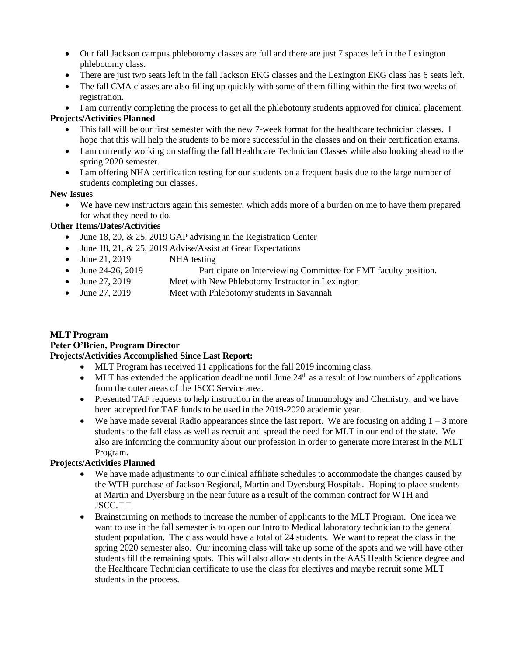- Our fall Jackson campus phlebotomy classes are full and there are just 7 spaces left in the Lexington phlebotomy class.
- There are just two seats left in the fall Jackson EKG classes and the Lexington EKG class has 6 seats left.
- The fall CMA classes are also filling up quickly with some of them filling within the first two weeks of registration.

I am currently completing the process to get all the phlebotomy students approved for clinical placement.

## **Projects/Activities Planned**

- This fall will be our first semester with the new 7-week format for the healthcare technician classes. I hope that this will help the students to be more successful in the classes and on their certification exams.
- I am currently working on staffing the fall Healthcare Technician Classes while also looking ahead to the spring 2020 semester.
- I am offering NHA certification testing for our students on a frequent basis due to the large number of students completing our classes.

#### **New Issues**

 We have new instructors again this semester, which adds more of a burden on me to have them prepared for what they need to do.

### **Other Items/Dates/Activities**

- June 18, 20,  $& 25$ , 2019 GAP advising in the Registration Center
- $\bullet$  June 18, 21, & 25, 2019 Advise/Assist at Great Expectations
- June 21, 2019 NHA testing
- June 24-26, 2019 Participate on Interviewing Committee for EMT faculty position.
- June 27, 2019 Meet with New Phlebotomy Instructor in Lexington
- June 27, 2019 Meet with Phlebotomy students in Savannah

# **MLT Program**

## **Peter O'Brien, Program Director**

# **Projects/Activities Accomplished Since Last Report:**

- MLT Program has received 11 applications for the fall 2019 incoming class.
- $\bullet$  MLT has extended the application deadline until June 24<sup>th</sup> as a result of low numbers of applications from the outer areas of the JSCC Service area.
- Presented TAF requests to help instruction in the areas of Immunology and Chemistry, and we have been accepted for TAF funds to be used in the 2019-2020 academic year.
- We have made several Radio appearances since the last report. We are focusing on adding  $1 3$  more students to the fall class as well as recruit and spread the need for MLT in our end of the state. We also are informing the community about our profession in order to generate more interest in the MLT Program.

#### **Projects/Activities Planned**

- We have made adjustments to our clinical affiliate schedules to accommodate the changes caused by the WTH purchase of Jackson Regional, Martin and Dyersburg Hospitals. Hoping to place students at Martin and Dyersburg in the near future as a result of the common contract for WTH and JSCC.<sub>UU</sub>
- Brainstorming on methods to increase the number of applicants to the MLT Program. One idea we want to use in the fall semester is to open our Intro to Medical laboratory technician to the general student population. The class would have a total of 24 students. We want to repeat the class in the spring 2020 semester also. Our incoming class will take up some of the spots and we will have other students fill the remaining spots. This will also allow students in the AAS Health Science degree and the Healthcare Technician certificate to use the class for electives and maybe recruit some MLT students in the process.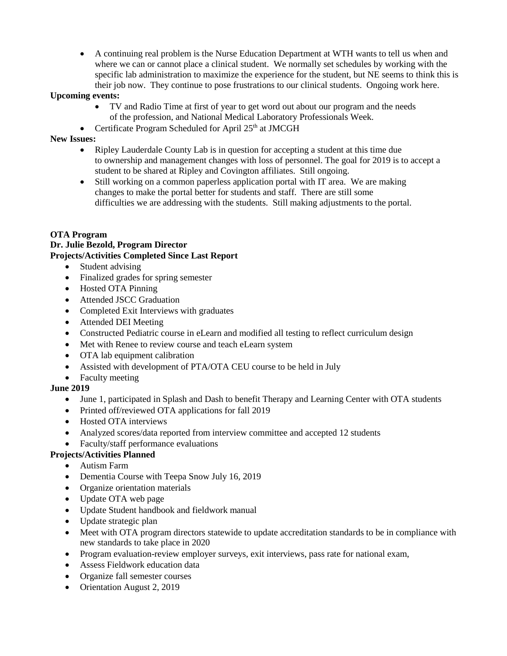A continuing real problem is the Nurse Education Department at WTH wants to tell us when and where we can or cannot place a clinical student. We normally set schedules by working with the specific lab administration to maximize the experience for the student, but NE seems to think this is their job now. They continue to pose frustrations to our clinical students. Ongoing work here.

#### **Upcoming events:**

- TV and Radio Time at first of year to get word out about our program and the needs of the profession, and National Medical Laboratory Professionals Week.
- Certificate Program Scheduled for April  $25<sup>th</sup>$  at JMCGH

#### **New Issues:**

- Ripley Lauderdale County Lab is in question for accepting a student at this time due to ownership and management changes with loss of personnel. The goal for 2019 is to accept a student to be shared at Ripley and Covington affiliates. Still ongoing.
- Still working on a common paperless application portal with IT area. We are making changes to make the portal better for students and staff. There are still some difficulties we are addressing with the students. Still making adjustments to the portal.

#### **OTA Program**

### **Dr. Julie Bezold, Program Director Projects/Activities Completed Since Last Report**

- Student advising
- Finalized grades for spring semester
- Hosted OTA Pinning
- Attended JSCC Graduation
- Completed Exit Interviews with graduates
- Attended DEI Meeting
- Constructed Pediatric course in eLearn and modified all testing to reflect curriculum design
- Met with Renee to review course and teach eLearn system
- OTA lab equipment calibration
- Assisted with development of PTA/OTA CEU course to be held in July
- Faculty meeting

# **June 2019**

- June 1, participated in Splash and Dash to benefit Therapy and Learning Center with OTA students
- Printed off/reviewed OTA applications for fall 2019
- Hosted OTA interviews
- Analyzed scores/data reported from interview committee and accepted 12 students
- Faculty/staff performance evaluations

#### **Projects/Activities Planned**

- Autism Farm
- Dementia Course with Teepa Snow July 16, 2019
- Organize orientation materials
- Update OTA web page
- Update Student handbook and fieldwork manual
- Update strategic plan
- Meet with OTA program directors statewide to update accreditation standards to be in compliance with new standards to take place in 2020
- Program evaluation-review employer surveys, exit interviews, pass rate for national exam,
- Assess Fieldwork education data
- Organize fall semester courses
- Orientation August 2, 2019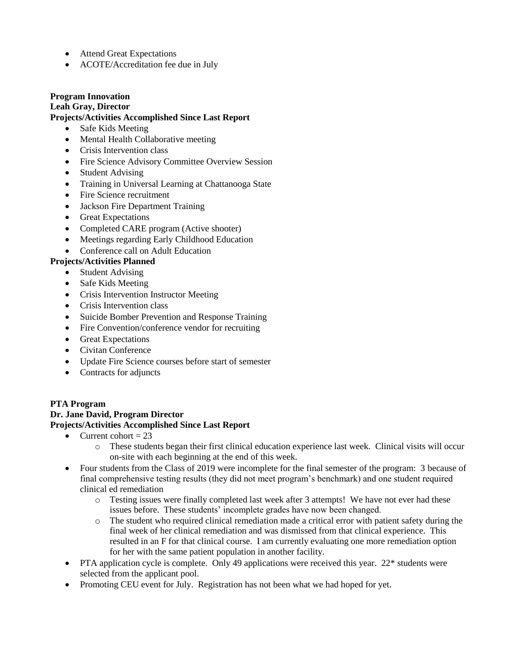- Attend Great Expectations
- ACOTE/Accreditation fee due in July

#### **Program Innovation Leah Gray, Director Projects/Activities Accomplished Since Last Report**

- Safe Kids Meeting
- Mental Health Collaborative meeting
- Crisis Intervention class
- Fire Science Advisory Committee Overview Session
- Student Advising
- Training in Universal Learning at Chattanooga State
- Fire Science recruitment
- Jackson Fire Department Training
- Great Expectations
- Completed CARE program (Active shooter)
- Meetings regarding Early Childhood Education
- Conference call on Adult Education

#### **Projects/Activities Planned**

- Student Advising
- Safe Kids Meeting
- Crisis Intervention Instructor Meeting
- Crisis Intervention class
- Suicide Bomber Prevention and Response Training
- Fire Convention/conference vendor for recruiting
- Great Expectations
- Civitan Conference
- Update Fire Science courses before start of semester
- Contracts for adjuncts

#### **PTA Program Dr. Jane David, Program Director Projects/Activities Accomplished Since Last Report**

- Current cohort  $= 23$ 
	- o These students began their first clinical education experience last week. Clinical visits will occur on-site with each beginning at the end of this week.
- Four students from the Class of 2019 were incomplete for the final semester of the program: 3 because of final comprehensive testing results (they did not meet program's benchmark) and one student required clinical ed remediation
	- o Testing issues were finally completed last week after 3 attempts! We have not ever had these issues before. These students' incomplete grades have now been changed.
	- $\circ$  The student who required clinical remediation made a critical error with patient safety during the final week of her clinical remediation and was dismissed from that clinical experience. This resulted in an F for that clinical course. I am currently evaluating one more remediation option for her with the same patient population in another facility.
- PTA application cycle is complete. Only 49 applications were received this year. 22\* students were selected from the applicant pool.
- Promoting CEU event for July. Registration has not been what we had hoped for yet.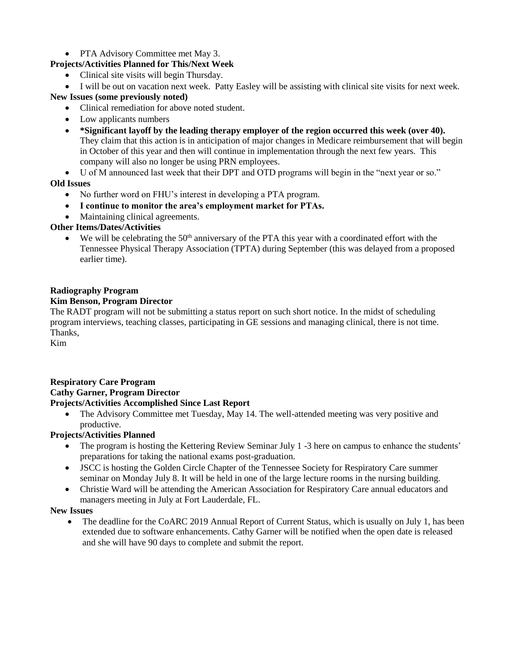### • PTA Advisory Committee met May 3.

# **Projects/Activities Planned for This/Next Week**

- Clinical site visits will begin Thursday.
- I will be out on vacation next week. Patty Easley will be assisting with clinical site visits for next week.

# **New Issues (some previously noted)**

- Clinical remediation for above noted student.
- Low applicants numbers
- **\*Significant layoff by the leading therapy employer of the region occurred this week (over 40).**  They claim that this action is in anticipation of major changes in Medicare reimbursement that will begin in October of this year and then will continue in implementation through the next few years. This company will also no longer be using PRN employees.
- U of M announced last week that their DPT and OTD programs will begin in the "next year or so."

### **Old Issues**

- No further word on FHU's interest in developing a PTA program.
- **I continue to monitor the area's employment market for PTAs.**
- Maintaining clinical agreements.

# **Other Items/Dates/Activities**

 $\bullet$  We will be celebrating the 50<sup>th</sup> anniversary of the PTA this year with a coordinated effort with the Tennessee Physical Therapy Association (TPTA) during September (this was delayed from a proposed earlier time).

### **Radiography Program**

#### **Kim Benson, Program Director**

The RADT program will not be submitting a status report on such short notice. In the midst of scheduling program interviews, teaching classes, participating in GE sessions and managing clinical, there is not time. Thanks,

Kim

#### **Respiratory Care Program Cathy Garner, Program Director Projects/Activities Accomplished Since Last Report**

• The Advisory Committee met Tuesday, May 14. The well-attended meeting was very positive and productive.

# **Projects/Activities Planned**

- The program is hosting the Kettering Review Seminar July 1 -3 here on campus to enhance the students' preparations for taking the national exams post-graduation.
- JSCC is hosting the Golden Circle Chapter of the Tennessee Society for Respiratory Care summer seminar on Monday July 8. It will be held in one of the large lecture rooms in the nursing building.
- Christie Ward will be attending the American Association for Respiratory Care annual educators and managers meeting in July at Fort Lauderdale, FL.

#### **New Issues**

• The deadline for the CoARC 2019 Annual Report of Current Status, which is usually on July 1, has been extended due to software enhancements. Cathy Garner will be notified when the open date is released and she will have 90 days to complete and submit the report.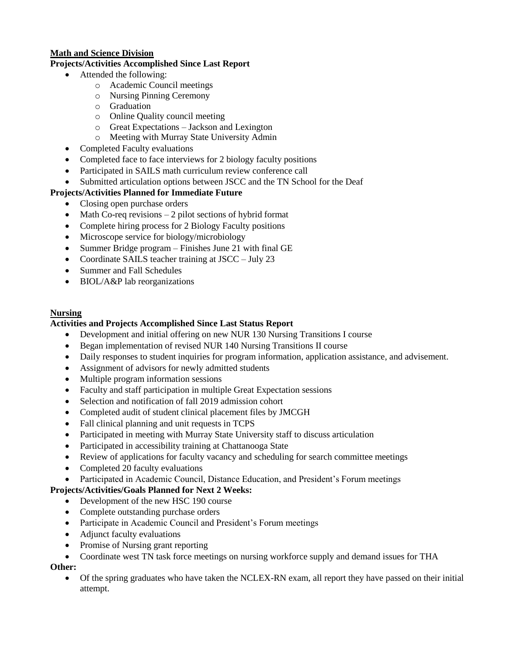#### **Math and Science Division**

#### **Projects/Activities Accomplished Since Last Report**

- Attended the following:
	- o Academic Council meetings
	- o Nursing Pinning Ceremony
	- o Graduation
	- o Online Quality council meeting
	- o Great Expectations Jackson and Lexington
	- o Meeting with Murray State University Admin
- Completed Faculty evaluations
- Completed face to face interviews for 2 biology faculty positions
- Participated in SAILS math curriculum review conference call
- Submitted articulation options between JSCC and the TN School for the Deaf

## **Projects/Activities Planned for Immediate Future**

- Closing open purchase orders
- Math Co-req revisions 2 pilot sections of hybrid format
- Complete hiring process for 2 Biology Faculty positions
- Microscope service for biology/microbiology
- Summer Bridge program Finishes June 21 with final GE
- Coordinate SAILS teacher training at JSCC July 23
- Summer and Fall Schedules
- BIOL/A&P lab reorganizations

#### **Nursing**

#### **Activities and Projects Accomplished Since Last Status Report**

- Development and initial offering on new NUR 130 Nursing Transitions I course
- Began implementation of revised NUR 140 Nursing Transitions II course
- Daily responses to student inquiries for program information, application assistance, and advisement.
- Assignment of advisors for newly admitted students
- Multiple program information sessions
- Faculty and staff participation in multiple Great Expectation sessions
- Selection and notification of fall 2019 admission cohort
- Completed audit of student clinical placement files by JMCGH
- Fall clinical planning and unit requests in TCPS
- Participated in meeting with Murray State University staff to discuss articulation
- Participated in accessibility training at Chattanooga State
- Review of applications for faculty vacancy and scheduling for search committee meetings
- Completed 20 faculty evaluations
- Participated in Academic Council, Distance Education, and President's Forum meetings

## **Projects/Activities/Goals Planned for Next 2 Weeks:**

- Development of the new HSC 190 course
- Complete outstanding purchase orders
- Participate in Academic Council and President's Forum meetings
- Adjunct faculty evaluations
- Promise of Nursing grant reporting
- Coordinate west TN task force meetings on nursing workforce supply and demand issues for THA

# **Other:**

 Of the spring graduates who have taken the NCLEX-RN exam, all report they have passed on their initial attempt.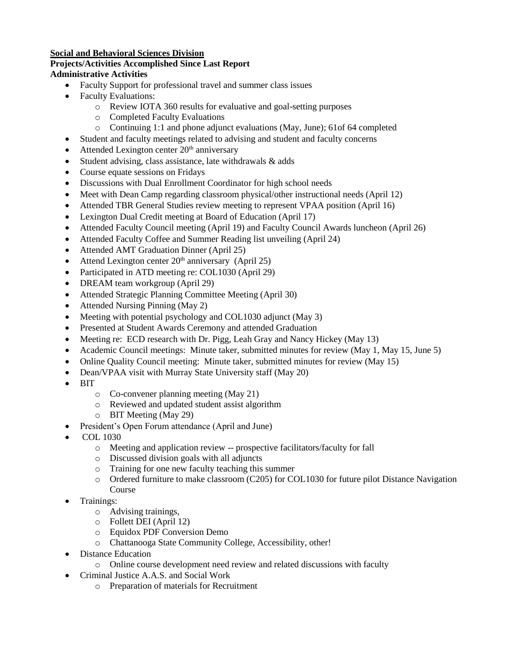#### **Social and Behavioral Sciences Division**

#### **Projects/Activities Accomplished Since Last Report**

#### **Administrative Activities**

- Faculty Support for professional travel and summer class issues
- Faculty Evaluations:
	- o Review IOTA 360 results for evaluative and goal-setting purposes
	- o Completed Faculty Evaluations
	- o Continuing 1:1 and phone adjunct evaluations (May, June); 61of 64 completed
- Student and faculty meetings related to advising and student and faculty concerns
- $\bullet$  Attended Lexington center  $20<sup>th</sup>$  anniversary
- Student advising, class assistance, late withdrawals & adds
- Course equate sessions on Fridays
- Discussions with Dual Enrollment Coordinator for high school needs
- Meet with Dean Camp regarding classroom physical/other instructional needs (April 12)
- Attended TBR General Studies review meeting to represent VPAA position (April 16)
- Lexington Dual Credit meeting at Board of Education (April 17)
- Attended Faculty Council meeting (April 19) and Faculty Council Awards luncheon (April 26)
- Attended Faculty Coffee and Summer Reading list unveiling (April 24)
- Attended AMT Graduation Dinner (April 25)
- Attend Lexington center  $20<sup>th</sup>$  anniversary (April 25)
- Participated in ATD meeting re: COL1030 (April 29)
- DREAM team workgroup (April 29)
- Attended Strategic Planning Committee Meeting (April 30)
- Attended Nursing Pinning (May 2)
- Meeting with potential psychology and COL1030 adjunct (May 3)
- Presented at Student Awards Ceremony and attended Graduation
- Meeting re: ECD research with Dr. Pigg, Leah Gray and Nancy Hickey (May 13)
- Academic Council meetings: Minute taker, submitted minutes for review (May 1, May 15, June 5)
- Online Quality Council meeting: Minute taker, submitted minutes for review (May 15)
- Dean/VPAA visit with Murray State University staff (May 20)
- **BIT** 
	- o Co-convener planning meeting (May 21)
	- o Reviewed and updated student assist algorithm
	- o BIT Meeting (May 29)
- President's Open Forum attendance (April and June)
- COL 1030
	- o Meeting and application review -- prospective facilitators/faculty for fall
	- o Discussed division goals with all adjuncts
	- o Training for one new faculty teaching this summer
	- $\circ$  Ordered furniture to make classroom (C205) for COL1030 for future pilot Distance Navigation Course
- Trainings:
	- o Advising trainings,
	- o Follett DEI (April 12)
	- o Equidox PDF Conversion Demo
	- o Chattanooga State Community College, Accessibility, other!
- Distance Education
	- o Online course development need review and related discussions with faculty
- Criminal Justice A.A.S. and Social Work
	- o Preparation of materials for Recruitment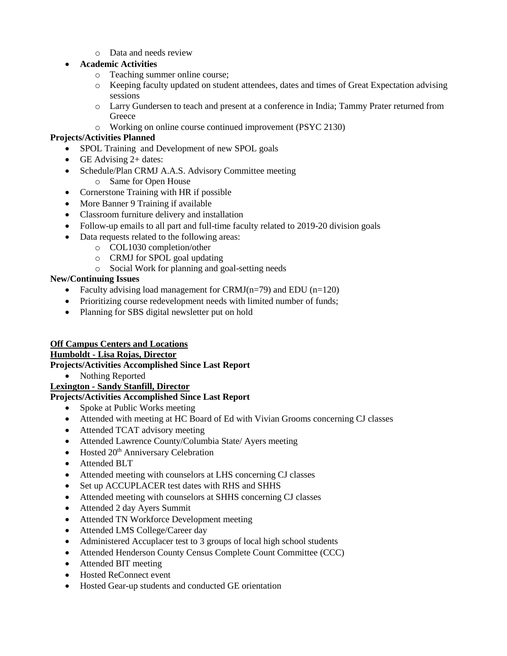o Data and needs review

## **Academic Activities**

- o Teaching summer online course;
- o Keeping faculty updated on student attendees, dates and times of Great Expectation advising sessions
- o Larry Gundersen to teach and present at a conference in India; Tammy Prater returned from **Greece**
- o Working on online course continued improvement (PSYC 2130)

### **Projects/Activities Planned**

- SPOL Training and Development of new SPOL goals
- GE Advising  $2+$  dates:
- Schedule/Plan CRMJ A.A.S. Advisory Committee meeting
	- o Same for Open House
- Cornerstone Training with HR if possible
- More Banner 9 Training if available
- Classroom furniture delivery and installation
- Follow-up emails to all part and full-time faculty related to 2019-20 division goals
- Data requests related to the following areas:
	- o COL1030 completion/other
	- o CRMJ for SPOL goal updating
	- o Social Work for planning and goal-setting needs

### **New/Continuing Issues**

- Faculty advising load management for CRMJ( $n=79$ ) and EDU ( $n=120$ )
- Prioritizing course redevelopment needs with limited number of funds;
- Planning for SBS digital newsletter put on hold

# **Off Campus Centers and Locations**

# **Humboldt - Lisa Rojas, Director**

**Projects/Activities Accomplished Since Last Report**

• Nothing Reported

#### **Lexington - Sandy Stanfill, Director**

- Spoke at Public Works meeting
- Attended with meeting at HC Board of Ed with Vivian Grooms concerning CJ classes
- Attended TCAT advisory meeting
- Attended Lawrence County/Columbia State/ Ayers meeting
- $\bullet$  Hosted 20<sup>th</sup> Anniversary Celebration
- Attended BLT
- Attended meeting with counselors at LHS concerning CJ classes
- Set up ACCUPLACER test dates with RHS and SHHS
- Attended meeting with counselors at SHHS concerning CJ classes
- Attended 2 day Ayers Summit
- Attended TN Workforce Development meeting
- Attended LMS College/Career day
- Administered Accuplacer test to 3 groups of local high school students
- Attended Henderson County Census Complete Count Committee (CCC)
- Attended BIT meeting
- Hosted ReConnect event
- Hosted Gear-up students and conducted GE orientation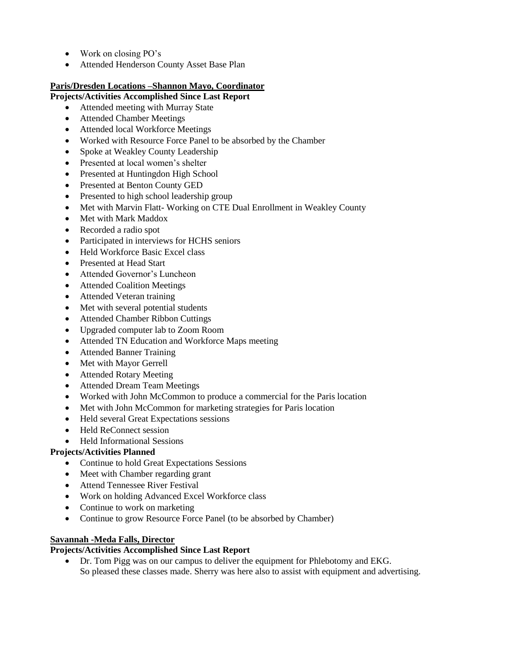- Work on closing PO's
- Attended Henderson County Asset Base Plan

### **Paris/Dresden Locations –Shannon Mayo, Coordinator**

### **Projects/Activities Accomplished Since Last Report**

- Attended meeting with Murray State
- Attended Chamber Meetings
- Attended local Workforce Meetings
- Worked with Resource Force Panel to be absorbed by the Chamber
- Spoke at Weakley County Leadership
- Presented at local women's shelter
- Presented at Huntingdon High School
- Presented at Benton County GED
- Presented to high school leadership group
- Met with Marvin Flatt-Working on CTE Dual Enrollment in Weakley County
- Met with Mark Maddox
- Recorded a radio spot
- Participated in interviews for HCHS seniors
- Held Workforce Basic Excel class
- Presented at Head Start
- Attended Governor's Luncheon
- Attended Coalition Meetings
- Attended Veteran training
- Met with several potential students
- Attended Chamber Ribbon Cuttings
- Upgraded computer lab to Zoom Room
- Attended TN Education and Workforce Maps meeting
- Attended Banner Training
- Met with Mayor Gerrell
- Attended Rotary Meeting
- Attended Dream Team Meetings
- Worked with John McCommon to produce a commercial for the Paris location
- Met with John McCommon for marketing strategies for Paris location
- Held several Great Expectations sessions
- Held ReConnect session
- Held Informational Sessions

#### **Projects/Activities Planned**

- Continue to hold Great Expectations Sessions
- Meet with Chamber regarding grant
- Attend Tennessee River Festival
- Work on holding Advanced Excel Workforce class
- Continue to work on marketing
- Continue to grow Resource Force Panel (to be absorbed by Chamber)

#### **Savannah -Meda Falls, Director**

### **Projects/Activities Accomplished Since Last Report**

 Dr. Tom Pigg was on our campus to deliver the equipment for Phlebotomy and EKG. So pleased these classes made. Sherry was here also to assist with equipment and advertising.